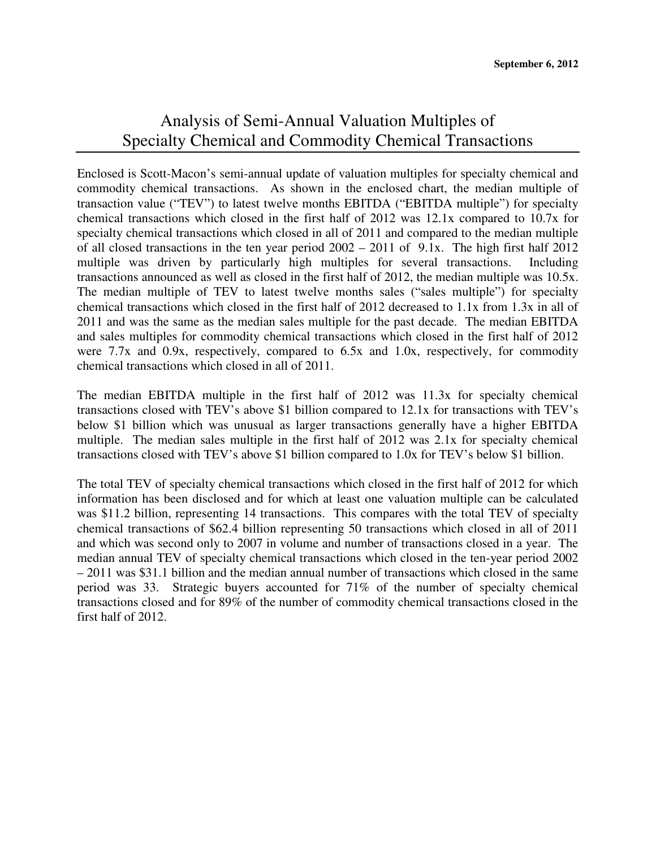## Analysis of Semi-Annual Valuation Multiples of Specialty Chemical and Commodity Chemical Transactions

Enclosed is Scott-Macon's semi-annual update of valuation multiples for specialty chemical and commodity chemical transactions. As shown in the enclosed chart, the median multiple of transaction value ("TEV") to latest twelve months EBITDA ("EBITDA multiple") for specialty chemical transactions which closed in the first half of 2012 was 12.1x compared to 10.7x for specialty chemical transactions which closed in all of 2011 and compared to the median multiple of all closed transactions in the ten year period 2002 – 2011 of 9.1x. The high first half 2012 multiple was driven by particularly high multiples for several transactions. Including transactions announced as well as closed in the first half of 2012, the median multiple was 10.5x. The median multiple of TEV to latest twelve months sales ("sales multiple") for specialty chemical transactions which closed in the first half of 2012 decreased to 1.1x from 1.3x in all of 2011 and was the same as the median sales multiple for the past decade. The median EBITDA and sales multiples for commodity chemical transactions which closed in the first half of 2012 were 7.7x and 0.9x, respectively, compared to 6.5x and 1.0x, respectively, for commodity chemical transactions which closed in all of 2011.

The median EBITDA multiple in the first half of 2012 was 11.3x for specialty chemical transactions closed with TEV's above \$1 billion compared to 12.1x for transactions with TEV's below \$1 billion which was unusual as larger transactions generally have a higher EBITDA multiple. The median sales multiple in the first half of 2012 was 2.1x for specialty chemical transactions closed with TEV's above \$1 billion compared to 1.0x for TEV's below \$1 billion.

The total TEV of specialty chemical transactions which closed in the first half of 2012 for which information has been disclosed and for which at least one valuation multiple can be calculated was \$11.2 billion, representing 14 transactions. This compares with the total TEV of specialty chemical transactions of \$62.4 billion representing 50 transactions which closed in all of 2011 and which was second only to 2007 in volume and number of transactions closed in a year. The median annual TEV of specialty chemical transactions which closed in the ten-year period 2002 – 2011 was \$31.1 billion and the median annual number of transactions which closed in the same period was 33. Strategic buyers accounted for 71% of the number of specialty chemical transactions closed and for 89% of the number of commodity chemical transactions closed in the first half of 2012.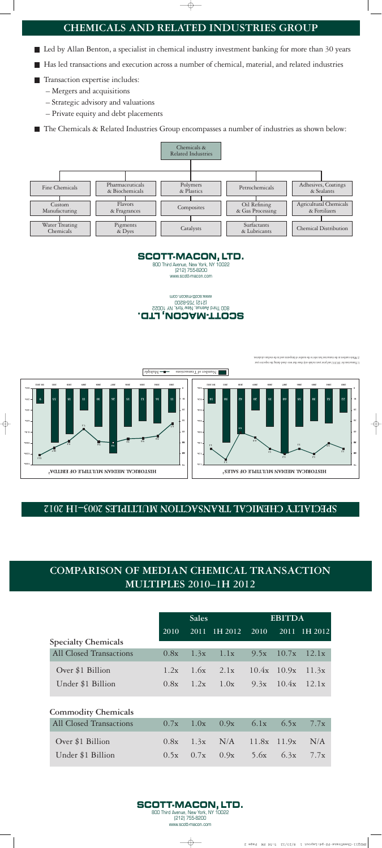## **COMPARISON OF MEDIAN CHEMICAL TRANSACTION MULTIPLES 2010-1H 2012**

|                                | <b>Sales</b> |      |         | <b>EBITDA</b> |              |         |
|--------------------------------|--------------|------|---------|---------------|--------------|---------|
|                                | 2010         | 2011 | 1H 2012 | 2010          | 2011         | 1H 2012 |
| <b>Specialty Chemicals</b>     |              |      |         |               |              |         |
| All Closed Transactions        | 0.8x         | 1.3x | 1.1x    |               | $9.5x$ 10.7x | 12.1x   |
| Over \$1 Billion               | 1.2x         | 1.6x | 2.1x    | 10.4x         | 10.9x        | 11.3x   |
| Under \$1 Billion              | 0.8x         | 1.2x | 1.0x    |               | $9.3x$ 10.4x | 12.1x   |
| <b>Commodity Chemicals</b>     |              |      |         |               |              |         |
| <b>All Closed Transactions</b> | 0.7x         | 1.0x | 0.9x    | 6.1x          | 6.5x         | 7.7x    |
| Over \$1 Billion               | 0.8x         | 1.3x | N/A     | 11.8x         | 11.9x        | N/A     |



 $0.5x$  0.7x

 $0.9x$ 

 $5.6x$ 

 $6.3x$ 

 $7.7x$ 

Under \$1 Billion